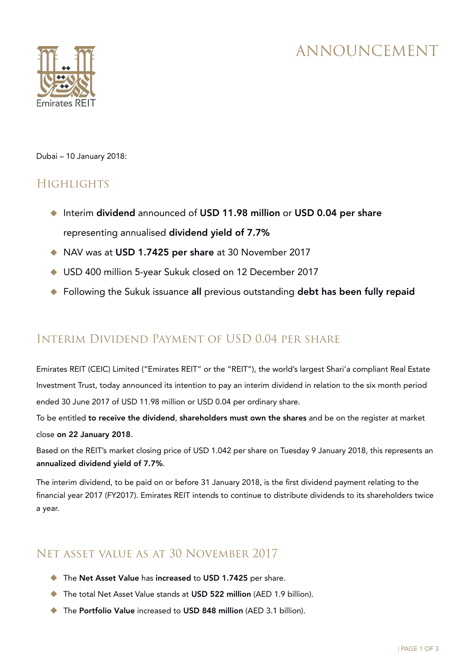# ANNOUNCEMENT



Dubai – 10 January 2018:

## **HIGHLIGHTS**

- ◆ Interim dividend announced of USD 11.98 million or USD 0.04 per share representing annualised dividend yield of 7.7%
- ◆ NAV was at USD 1.7425 per share at 30 November 2017
- ◆ USD 400 million 5-year Sukuk closed on 12 December 2017
- ◆ Following the Sukuk issuance all previous outstanding debt has been fully repaid

## Interim Dividend Payment of USD 0.04 per share

Emirates REIT (CEIC) Limited ("Emirates REIT" or the "REIT"), the world's largest Shari'a compliant Real Estate Investment Trust, today announced its intention to pay an interim dividend in relation to the six month period ended 30 June 2017 of USD 11.98 million or USD 0.04 per ordinary share.

To be entitled to receive the dividend, shareholders must own the shares and be on the register at market close on 22 January 2018.

Based on the REIT's market closing price of USD 1.042 per share on Tuesday 9 January 2018, this represents an annualized dividend yield of 7.7%.

The interim dividend, to be paid on or before 31 January 2018, is the first dividend payment relating to the financial year 2017 (FY2017). Emirates REIT intends to continue to distribute dividends to its shareholders twice a year.

## Net asset value as at 30 November 2017

- ◆ The Net Asset Value has increased to USD 1.7425 per share.
- ◆ The total Net Asset Value stands at USD 522 million (AED 1.9 billion).
- ◆ The Portfolio Value increased to USD 848 million (AED 3.1 billion).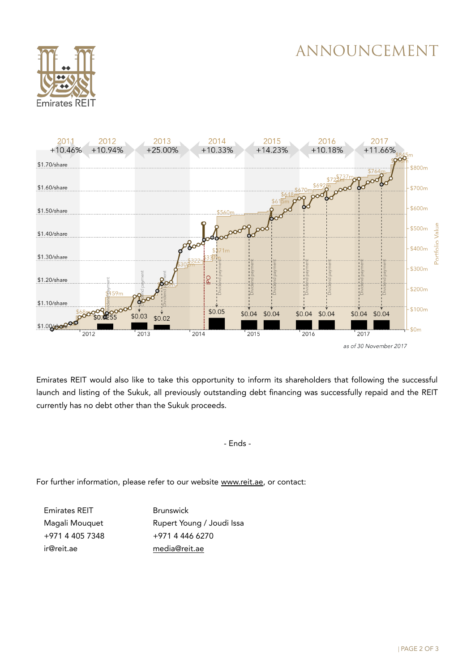# ANNOUNCEMENT





Emirates REIT would also like to take this opportunity to inform its shareholders that following the successful launch and listing of the Sukuk, all previously outstanding debt financing was successfully repaid and the REIT currently has no debt other than the Sukuk proceeds.

- Ends -

For further information, please refer to our website [www.reit.ae,](http://www.reit.ae/) or contact:

Emirates REIT Magali Mouquet +971 4 405 7348 ir@reit.ae

Brunswick Rupert Young / Joudi Issa +971 4 446 6270 [media@reit.ae](mailto:media@reit.ae)